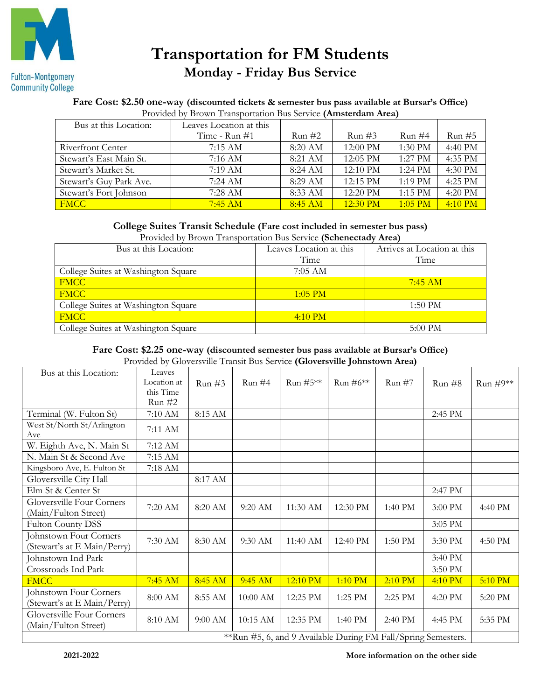

# **Transportation for FM Students Monday - Friday Bus Service**

## **Fare Cost: \$2.50 one-way (discounted tickets & semester bus pass available at Bursar's Office)**

| Bus at this Location:   | Leaves Location at this |           |                    |           |           |
|-------------------------|-------------------------|-----------|--------------------|-----------|-----------|
|                         | Time - $Run #1$         | Run #2    | $Run \#3$          | Run#4     | Run#5     |
| Riverfront Center       | 7:15AM                  | $8:20$ AM | $12:00 \text{ PM}$ | 1:30 PM   | 4:40 PM   |
| Stewart's East Main St. | $7:16$ AM               | 8:21 AM   | 12:05 PM           | $1:27$ PM | 4:35 PM   |
| Stewart's Market St.    | 7:19 AM                 | $8:24$ AM | $12:10 \text{ PM}$ | $1:24$ PM | 4:30 PM   |
| Stewart's Guy Park Ave. | $7:24$ AM               | 8:29 AM   | $12:15 \text{ PM}$ | $1:19$ PM | 4:25 PM   |
| Stewart's Fort Johnson  | 7:28 AM                 | 8:33 AM   | $12:20$ PM         | $1:15$ PM | 4:20 PM   |
| <b>FMCC</b>             | $7:45$ AM               | $8:45$ AM | $12:30$ PM         | $1:05$ PM | $4:10$ PM |

### **College Suites Transit Schedule (Fare cost included in semester bus pass)**

Provided by Brown Transportation Bus Service **(Schenectady Area)**

| Bus at this Location:               | Leaves Location at this | Arrives at Location at this |
|-------------------------------------|-------------------------|-----------------------------|
|                                     | Time                    | Time                        |
| College Suites at Washington Square | 7:05 AM                 |                             |
| <b>FMCC</b>                         |                         | $7:45$ AM                   |
| <b>FMCC</b>                         | $1:05$ PM               |                             |
| College Suites at Washington Square |                         | $1:50 \text{ PM}$           |
| <b>FMCC</b>                         | $4:10 \text{ PM}$       |                             |
| College Suites at Washington Square |                         | 5:00 PM                     |

### **Fare Cost: \$2.25 one-way (discounted semester bus pass available at Bursar's Office)**

Provided by Gloversville Transit Bus Service **(Gloversville Johnstown Area)**

| Bus at this Location:                                         | Leaves      |                    |            |                    |           |           |         |          |
|---------------------------------------------------------------|-------------|--------------------|------------|--------------------|-----------|-----------|---------|----------|
|                                                               | Location at | Run#3              | Run#4      | Run $#5**$         | Run #6**  | Run#7     | Run#8   | Run #9** |
|                                                               | this Time   |                    |            |                    |           |           |         |          |
|                                                               | Run #2      |                    |            |                    |           |           |         |          |
| Terminal (W. Fulton St)                                       | 7:10 AM     | $8:15~\mathrm{AM}$ |            |                    |           |           | 2:45 PM |          |
| West St/North St/Arlington                                    | 7:11 AM     |                    |            |                    |           |           |         |          |
| Ave                                                           |             |                    |            |                    |           |           |         |          |
| W. Eighth Ave, N. Main St                                     | 7:12 AM     |                    |            |                    |           |           |         |          |
| N. Main St & Second Ave                                       | 7:15 AM     |                    |            |                    |           |           |         |          |
| Kingsboro Ave, E. Fulton St                                   | 7:18 AM     |                    |            |                    |           |           |         |          |
| Gloversville City Hall                                        |             | 8:17 AM            |            |                    |           |           |         |          |
| Elm St & Center St                                            |             |                    |            |                    |           |           | 2:47 PM |          |
| Gloversville Four Corners                                     | 7:20 AM     | 8:20 AM            |            | 11:30 AM           | 12:30 PM  |           |         |          |
| (Main/Fulton Street)                                          |             |                    | $9:20$ AM  |                    |           | 1:40 PM   | 3:00 PM | 4:40 PM  |
| <b>Fulton County DSS</b>                                      |             |                    |            |                    |           |           | 3:05 PM |          |
| Johnstown Four Corners                                        | 7:30 AM     | 8:30 AM            | 9:30 AM    | $11:40 \text{ AM}$ | 12:40 PM  | $1:50$ PM | 3:30 PM | 4:50 PM  |
| (Stewart's at E Main/Perry)                                   |             |                    |            |                    |           |           |         |          |
| Johnstown Ind Park                                            |             |                    |            |                    |           |           | 3:40 PM |          |
| Crossroads Ind Park                                           |             |                    |            |                    |           |           | 3:50 PM |          |
| <b>FMCC</b>                                                   | $7:45$ AM   | 8:45 AM            | 9:45 AM    | 12:10 PM           | 1:10 PM   | 2:10 PM   | 4:10 PM | 5:10 PM  |
| Johnstown Four Corners                                        |             |                    |            |                    |           |           |         |          |
| (Stewart's at E Main/Perry)                                   | 8:00 AM     | 8:55 AM            | $10:00$ AM | 12:25 PM           | $1:25$ PM | 2:25 PM   | 4:20 PM | 5:20 PM  |
| Gloversville Four Corners                                     |             |                    |            |                    |           |           |         |          |
| (Main/Fulton Street)                                          | 8:10 AM     | 9:00 AM            | $10:15$ AM | 12:35 PM           | 1:40 PM   | 2:40 PM   | 4:45 PM | 5:35 PM  |
| **Run #5, 6, and 9 Available During FM Fall/Spring Semesters. |             |                    |            |                    |           |           |         |          |